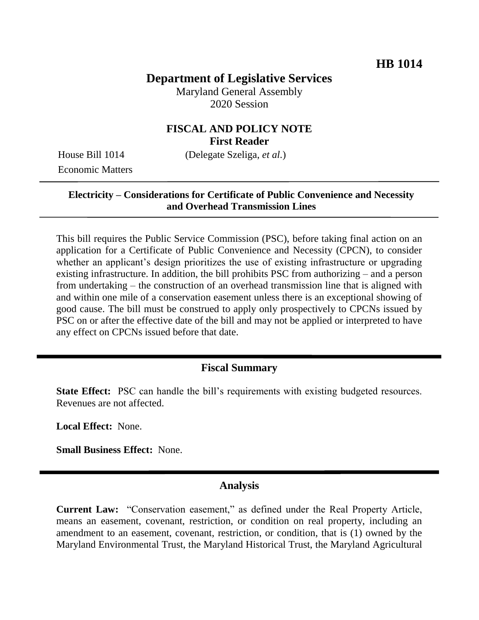# **Department of Legislative Services**

Maryland General Assembly 2020 Session

### **FISCAL AND POLICY NOTE First Reader**

Economic Matters

House Bill 1014 (Delegate Szeliga, *et al.*)

#### **Electricity – Considerations for Certificate of Public Convenience and Necessity and Overhead Transmission Lines**

This bill requires the Public Service Commission (PSC), before taking final action on an application for a Certificate of Public Convenience and Necessity (CPCN), to consider whether an applicant's design prioritizes the use of existing infrastructure or upgrading existing infrastructure. In addition, the bill prohibits PSC from authorizing – and a person from undertaking – the construction of an overhead transmission line that is aligned with and within one mile of a conservation easement unless there is an exceptional showing of good cause. The bill must be construed to apply only prospectively to CPCNs issued by PSC on or after the effective date of the bill and may not be applied or interpreted to have any effect on CPCNs issued before that date.

## **Fiscal Summary**

**State Effect:** PSC can handle the bill's requirements with existing budgeted resources. Revenues are not affected.

**Local Effect:** None.

**Small Business Effect:** None.

## **Analysis**

**Current Law:** "Conservation easement," as defined under the Real Property Article, means an easement, covenant, restriction, or condition on real property, including an amendment to an easement, covenant, restriction, or condition, that is (1) owned by the Maryland Environmental Trust, the Maryland Historical Trust, the Maryland Agricultural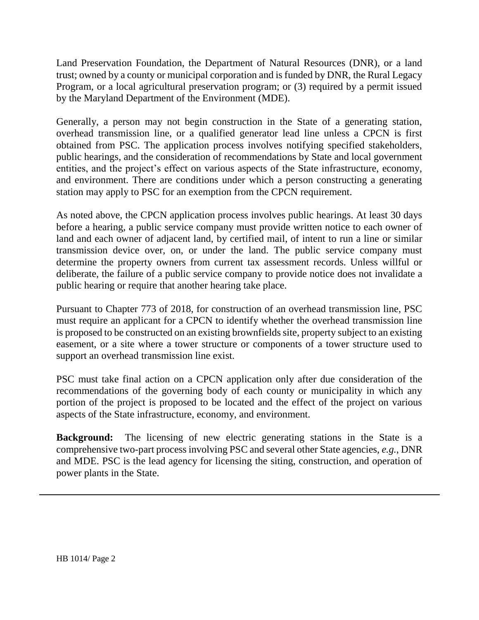Land Preservation Foundation, the Department of Natural Resources (DNR), or a land trust; owned by a county or municipal corporation and is funded by DNR, the Rural Legacy Program, or a local agricultural preservation program; or (3) required by a permit issued by the Maryland Department of the Environment (MDE).

Generally, a person may not begin construction in the State of a generating station, overhead transmission line, or a qualified generator lead line unless a CPCN is first obtained from PSC. The application process involves notifying specified stakeholders, public hearings, and the consideration of recommendations by State and local government entities, and the project's effect on various aspects of the State infrastructure, economy, and environment. There are conditions under which a person constructing a generating station may apply to PSC for an exemption from the CPCN requirement.

As noted above, the CPCN application process involves public hearings. At least 30 days before a hearing, a public service company must provide written notice to each owner of land and each owner of adjacent land, by certified mail, of intent to run a line or similar transmission device over, on, or under the land. The public service company must determine the property owners from current tax assessment records. Unless willful or deliberate, the failure of a public service company to provide notice does not invalidate a public hearing or require that another hearing take place.

Pursuant to Chapter 773 of 2018, for construction of an overhead transmission line, PSC must require an applicant for a CPCN to identify whether the overhead transmission line is proposed to be constructed on an existing brownfields site, property subject to an existing easement, or a site where a tower structure or components of a tower structure used to support an overhead transmission line exist.

PSC must take final action on a CPCN application only after due consideration of the recommendations of the governing body of each county or municipality in which any portion of the project is proposed to be located and the effect of the project on various aspects of the State infrastructure, economy, and environment.

**Background:** The licensing of new electric generating stations in the State is a comprehensive two-part process involving PSC and several other State agencies, *e.g.*, DNR and MDE. PSC is the lead agency for licensing the siting, construction, and operation of power plants in the State.